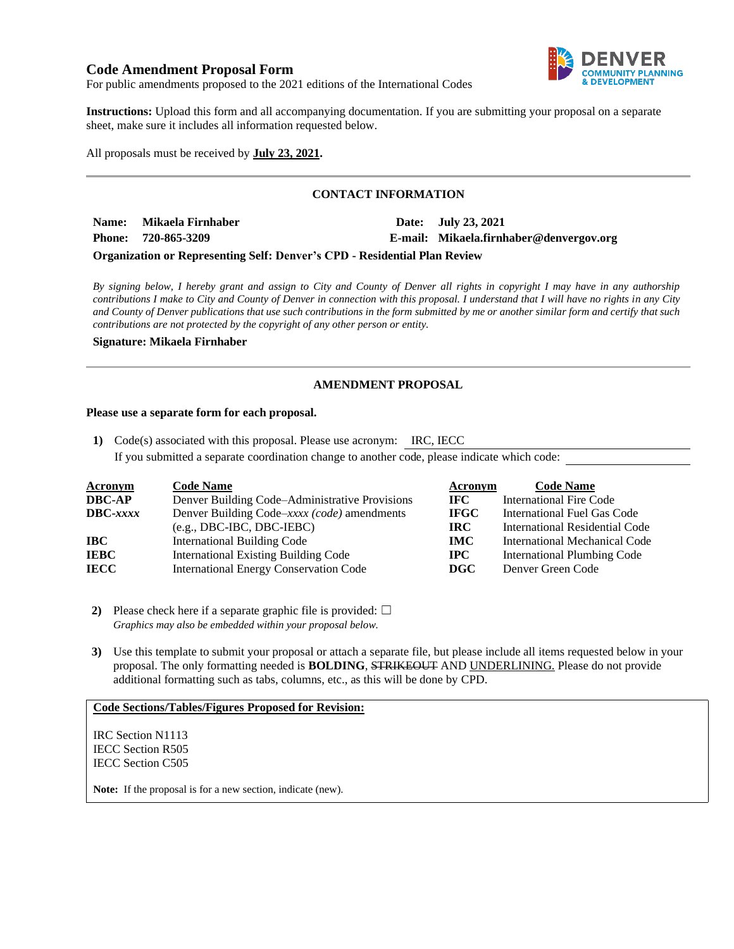### **Code Amendment Proposal Form**



For public amendments proposed to the 2021 editions of the International Codes

**Instructions:** Upload this form and all accompanying documentation. If you are submitting your proposal on a separate sheet, make sure it includes all information requested below.

All proposals must be received by **July 23, 2021.**

### **CONTACT INFORMATION**

**Name:** Mikaela Firnhaber **Date: Date:** July 23, 2021 **Phone: 720-865-3209 E-mail: Mikaela.firnhaber@denvergov.org**

#### **Organization or Representing Self: Denver's CPD - Residential Plan Review**

*By signing below, I hereby grant and assign to City and County of Denver all rights in copyright I may have in any authorship contributions I make to City and County of Denver in connection with this proposal. I understand that I will have no rights in any City and County of Denver publications that use such contributions in the form submitted by me or another similar form and certify that such contributions are not protected by the copyright of any other person or entity.* 

**Signature: Mikaela Firnhaber**

### **AMENDMENT PROPOSAL**

#### **Please use a separate form for each proposal.**

**1)** Code(s) associated with this proposal. Please use acronym: IRC, IECC If you submitted a separate coordination change to another code, please indicate which code:

| <b>Acronym</b>  | <b>Code Name</b>                               | Acronym      | <b>Code Name</b>                   |
|-----------------|------------------------------------------------|--------------|------------------------------------|
| DBC-AP          | Denver Building Code–Administrative Provisions | IFC -        | <b>International Fire Code</b>     |
| <b>DBC-xxxx</b> | Denver Building Code–xxxx (code) amendments    | <b>IFGC</b>  | International Fuel Gas Code        |
|                 | $(e.g., DBC-IBC, DBC-IEBC)$                    | <b>IRC</b>   | International Residential Code     |
| IBC-            | <b>International Building Code</b>             | <b>IMC</b>   | International Mechanical Code      |
| IEBC            | <b>International Existing Building Code</b>    | $_{\rm IPC}$ | <b>International Plumbing Code</b> |
| IECC            | <b>International Energy Conservation Code</b>  | DGC          | Denver Green Code                  |

**2)** Please check here if a separate graphic file is provided:  $\Box$ *Graphics may also be embedded within your proposal below.*

**3)** Use this template to submit your proposal or attach a separate file, but please include all items requested below in your proposal. The only formatting needed is **BOLDING**, STRIKEOUT AND UNDERLINING. Please do not provide additional formatting such as tabs, columns, etc., as this will be done by CPD.

#### **Code Sections/Tables/Figures Proposed for Revision:**

IRC Section N1113 IECC Section R505 IECC Section C505

**Note:** If the proposal is for a new section, indicate (new).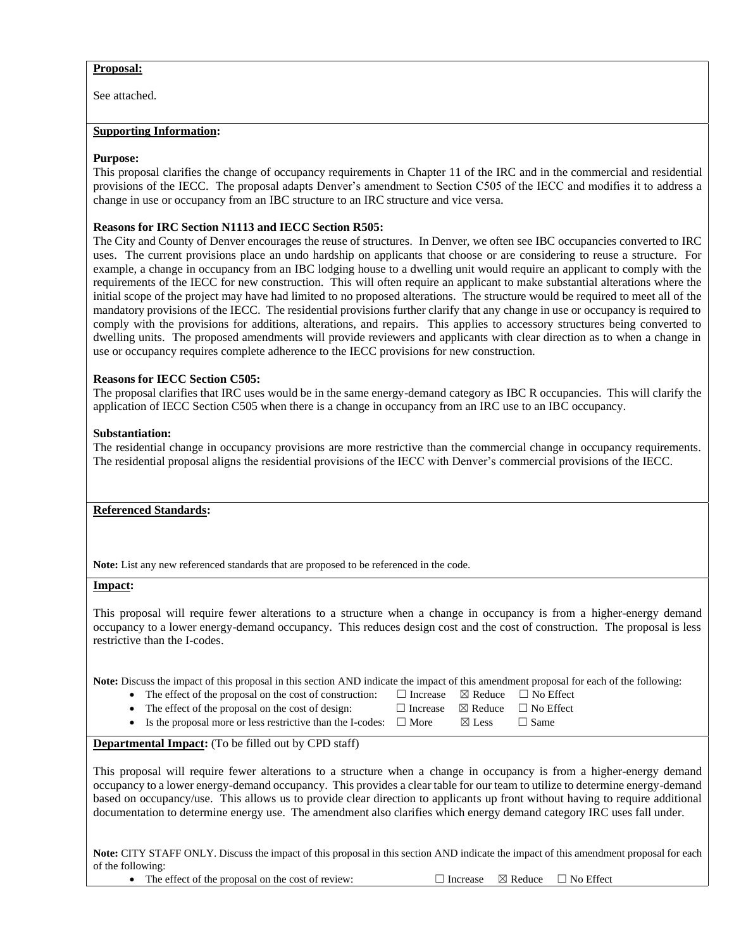### **Proposal:**

See attached.

#### **Supporting Information:**

#### **Purpose:**

This proposal clarifies the change of occupancy requirements in Chapter 11 of the IRC and in the commercial and residential provisions of the IECC. The proposal adapts Denver's amendment to Section C505 of the IECC and modifies it to address a change in use or occupancy from an IBC structure to an IRC structure and vice versa.

#### **Reasons for IRC Section N1113 and IECC Section R505:**

The City and County of Denver encourages the reuse of structures. In Denver, we often see IBC occupancies converted to IRC uses. The current provisions place an undo hardship on applicants that choose or are considering to reuse a structure. For example, a change in occupancy from an IBC lodging house to a dwelling unit would require an applicant to comply with the requirements of the IECC for new construction. This will often require an applicant to make substantial alterations where the initial scope of the project may have had limited to no proposed alterations. The structure would be required to meet all of the mandatory provisions of the IECC. The residential provisions further clarify that any change in use or occupancy is required to comply with the provisions for additions, alterations, and repairs. This applies to accessory structures being converted to dwelling units. The proposed amendments will provide reviewers and applicants with clear direction as to when a change in use or occupancy requires complete adherence to the IECC provisions for new construction.

### **Reasons for IECC Section C505:**

The proposal clarifies that IRC uses would be in the same energy-demand category as IBC R occupancies. This will clarify the application of IECC Section C505 when there is a change in occupancy from an IRC use to an IBC occupancy.

#### **Substantiation:**

The residential change in occupancy provisions are more restrictive than the commercial change in occupancy requirements. The residential proposal aligns the residential provisions of the IECC with Denver's commercial provisions of the IECC.

### **Referenced Standards:**

**Note:** List any new referenced standards that are proposed to be referenced in the code.

#### **Impact:**

This proposal will require fewer alterations to a structure when a change in occupancy is from a higher-energy demand occupancy to a lower energy-demand occupancy. This reduces design cost and the cost of construction. The proposal is less restrictive than the I-codes.

**Note:** Discuss the impact of this proposal in this section AND indicate the impact of this amendment proposal for each of the following:

- The effect of the proposal on the cost of construction:  $\Box$  Increase  $\boxtimes$  Reduce  $\Box$  No Effect
- The effect of the proposal on the cost of design:  $□$  Increase  $□$  Reduce  $□$  No Effect
	-
- Is the proposal more or less restrictive than the I-codes:  $\Box$  More  $\Box$  Eess  $\Box$  Same
- -

### **Departmental Impact:** (To be filled out by CPD staff)

This proposal will require fewer alterations to a structure when a change in occupancy is from a higher-energy demand occupancy to a lower energy-demand occupancy. This provides a clear table for our team to utilize to determine energy-demand based on occupancy/use. This allows us to provide clear direction to applicants up front without having to require additional documentation to determine energy use. The amendment also clarifies which energy demand category IRC uses fall under.

**Note:** CITY STAFF ONLY. Discuss the impact of this proposal in this section AND indicate the impact of this amendment proposal for each of the following:

• The effect of the proposal on the cost of review:  $\Box$  Increase  $\boxtimes$  Reduce  $\Box$  No Effect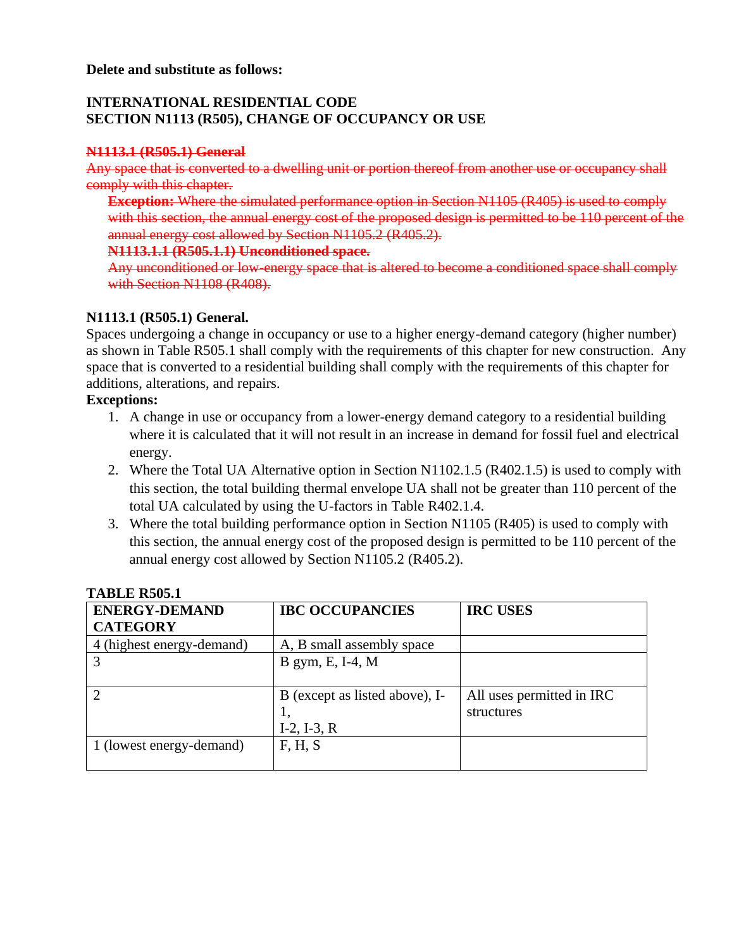# **INTERNATIONAL RESIDENTIAL CODE SECTION N1113 (R505), CHANGE OF OCCUPANCY OR USE**

# **N1113.1 (R505.1) General**

Any space that is converted to a dwelling unit or portion thereof from another use or occupancy shall comply with this chapter.

**Exception:** Where the simulated performance option in Section N1105 (R405) is used to comply with this section, the annual energy cost of the proposed design is permitted to be 110 percent of the annual energy cost allowed by Section N1105.2 (R405.2).

**N1113.1.1 (R505.1.1) Unconditioned space.**

Any unconditioned or low-energy space that is altered to become a conditioned space shall comply with Section N1108 (R408).

# **N1113.1 (R505.1) General.**

Spaces undergoing a change in occupancy or use to a higher energy-demand category (higher number) as shown in Table R505.1 shall comply with the requirements of this chapter for new construction. Any space that is converted to a residential building shall comply with the requirements of this chapter for additions, alterations, and repairs.

## **Exceptions:**

- 1. A change in use or occupancy from a lower-energy demand category to a residential building where it is calculated that it will not result in an increase in demand for fossil fuel and electrical energy.
- 2. Where the Total UA Alternative option in Section N1102.1.5 (R402.1.5) is used to comply with this section, the total building thermal envelope UA shall not be greater than 110 percent of the total UA calculated by using the U-factors in Table R402.1.4.
- 3. Where the total building performance option in Section N1105 (R405) is used to comply with this section, the annual energy cost of the proposed design is permitted to be 110 percent of the annual energy cost allowed by Section N1105.2 (R405.2).

| 1119191 Room              |                                |                           |  |  |  |  |
|---------------------------|--------------------------------|---------------------------|--|--|--|--|
| <b>ENERGY-DEMAND</b>      | <b>IBC OCCUPANCIES</b>         | <b>IRC USES</b>           |  |  |  |  |
| <b>CATEGORY</b>           |                                |                           |  |  |  |  |
| 4 (highest energy-demand) | A, B small assembly space      |                           |  |  |  |  |
|                           | B gym, E, I-4, M               |                           |  |  |  |  |
|                           |                                |                           |  |  |  |  |
|                           | B (except as listed above), I- | All uses permitted in IRC |  |  |  |  |
|                           | 1,                             | structures                |  |  |  |  |
|                           | $I-2$ , $I-3$ , $R$            |                           |  |  |  |  |
| 1 (lowest energy-demand)  | F, H, S                        |                           |  |  |  |  |
|                           |                                |                           |  |  |  |  |

## **TABLE R505.1**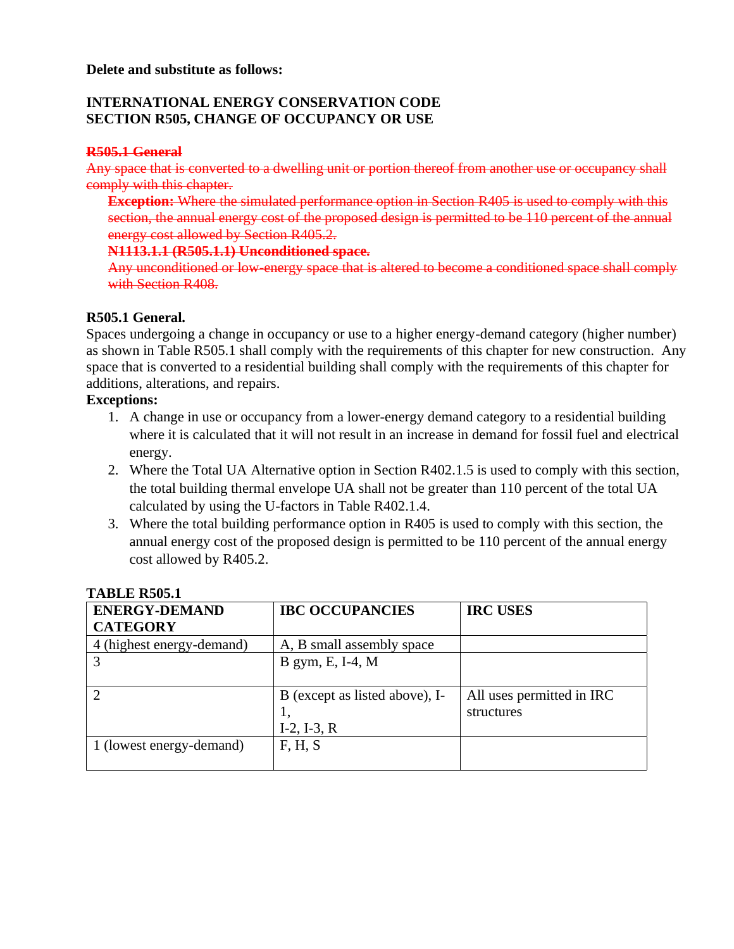## **Delete and substitute as follows:**

## **INTERNATIONAL ENERGY CONSERVATION CODE SECTION R505, CHANGE OF OCCUPANCY OR USE**

## **R505.1 General**

Any space that is converted to a dwelling unit or portion thereof from another use or occupancy shall comply with this chapter.

**Exception:** Where the simulated performance option in Section R405 is used to comply with this section, the annual energy cost of the proposed design is permitted to be 110 percent of the annual energy cost allowed by Section R405.2.

## **N1113.1.1 (R505.1.1) Unconditioned space.**

Any unconditioned or low-energy space that is altered to become a conditioned space shall comply with Section R408.

## **R505.1 General.**

Spaces undergoing a change in occupancy or use to a higher energy-demand category (higher number) as shown in Table R505.1 shall comply with the requirements of this chapter for new construction. Any space that is converted to a residential building shall comply with the requirements of this chapter for additions, alterations, and repairs.

## **Exceptions:**

- 1. A change in use or occupancy from a lower-energy demand category to a residential building where it is calculated that it will not result in an increase in demand for fossil fuel and electrical energy.
- 2. Where the Total UA Alternative option in Section R402.1.5 is used to comply with this section, the total building thermal envelope UA shall not be greater than 110 percent of the total UA calculated by using the U-factors in Table R402.1.4.
- 3. Where the total building performance option in R405 is used to comply with this section, the annual energy cost of the proposed design is permitted to be 110 percent of the annual energy cost allowed by R405.2.

| <b>ENERGY-DEMAND</b>      | <b>IBC OCCUPANCIES</b>         | <b>IRC USES</b>           |  |  |  |
|---------------------------|--------------------------------|---------------------------|--|--|--|
| <b>CATEGORY</b>           |                                |                           |  |  |  |
| 4 (highest energy-demand) | A, B small assembly space      |                           |  |  |  |
|                           | B gym, E, I-4, M               |                           |  |  |  |
|                           |                                |                           |  |  |  |
|                           | B (except as listed above), I- | All uses permitted in IRC |  |  |  |
|                           | 1,                             | structures                |  |  |  |
|                           | $I-2$ , $I-3$ , $R$            |                           |  |  |  |
| 1 (lowest energy-demand)  | F, H, S                        |                           |  |  |  |
|                           |                                |                           |  |  |  |

### **TABLE R505.1**